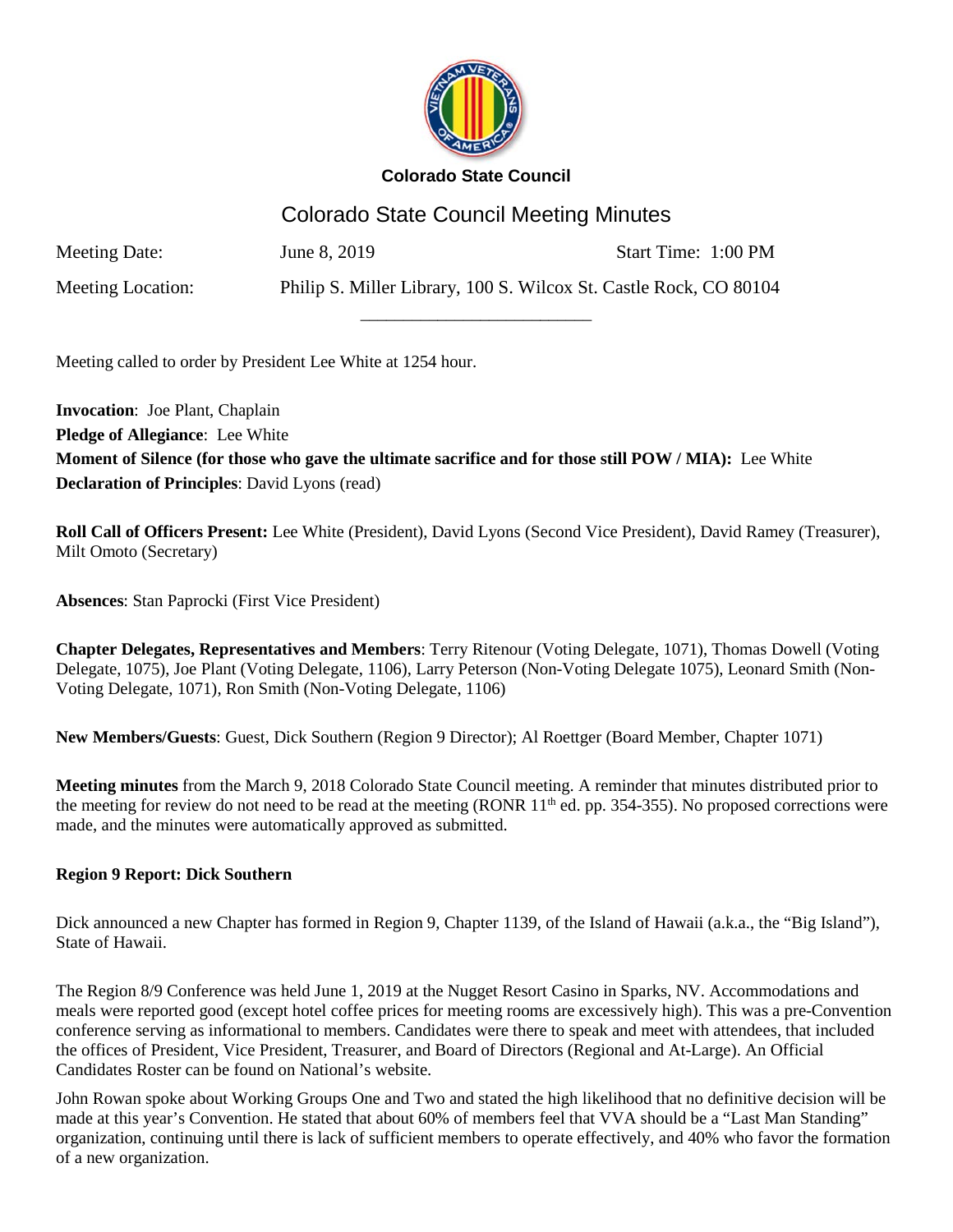

# Colorado State Council Meeting Minutes

\_\_\_\_\_\_\_\_\_\_\_\_\_\_\_\_\_\_\_\_\_\_\_\_\_\_\_

Meeting Date: June 8, 2019 Start Time: 1:00 PM

Meeting Location: Philip S. Miller Library, 100 S. Wilcox St. Castle Rock, CO 80104

Meeting called to order by President Lee White at 1254 hour.

**Invocation**: Joe Plant, Chaplain **Pledge of Allegiance**: Lee White **Moment of Silence (for those who gave the ultimate sacrifice and for those still POW / MIA):** Lee White **Declaration of Principles**: David Lyons (read)

**Roll Call of Officers Present:** Lee White (President), David Lyons (Second Vice President), David Ramey (Treasurer), Milt Omoto (Secretary)

**Absences**: Stan Paprocki (First Vice President)

**Chapter Delegates, Representatives and Members**: Terry Ritenour (Voting Delegate, 1071), Thomas Dowell (Voting Delegate, 1075), Joe Plant (Voting Delegate, 1106), Larry Peterson (Non-Voting Delegate 1075), Leonard Smith (Non-Voting Delegate, 1071), Ron Smith (Non-Voting Delegate, 1106)

**New Members/Guests**: Guest, Dick Southern (Region 9 Director); Al Roettger (Board Member, Chapter 1071)

**Meeting minutes** from the March 9, 2018 Colorado State Council meeting. A reminder that minutes distributed prior to the meeting for review do not need to be read at the meeting (RONR  $11<sup>th</sup>$  ed. pp. 354-355). No proposed corrections were made, and the minutes were automatically approved as submitted.

# **Region 9 Report: Dick Southern**

Dick announced a new Chapter has formed in Region 9, Chapter 1139, of the Island of Hawaii (a.k.a., the "Big Island"), State of Hawaii.

The Region 8/9 Conference was held June 1, 2019 at the Nugget Resort Casino in Sparks, NV. Accommodations and meals were reported good (except hotel coffee prices for meeting rooms are excessively high). This was a pre-Convention conference serving as informational to members. Candidates were there to speak and meet with attendees, that included the offices of President, Vice President, Treasurer, and Board of Directors (Regional and At-Large). An Official Candidates Roster can be found on National's website.

John Rowan spoke about Working Groups One and Two and stated the high likelihood that no definitive decision will be made at this year's Convention. He stated that about 60% of members feel that VVA should be a "Last Man Standing" organization, continuing until there is lack of sufficient members to operate effectively, and 40% who favor the formation of a new organization.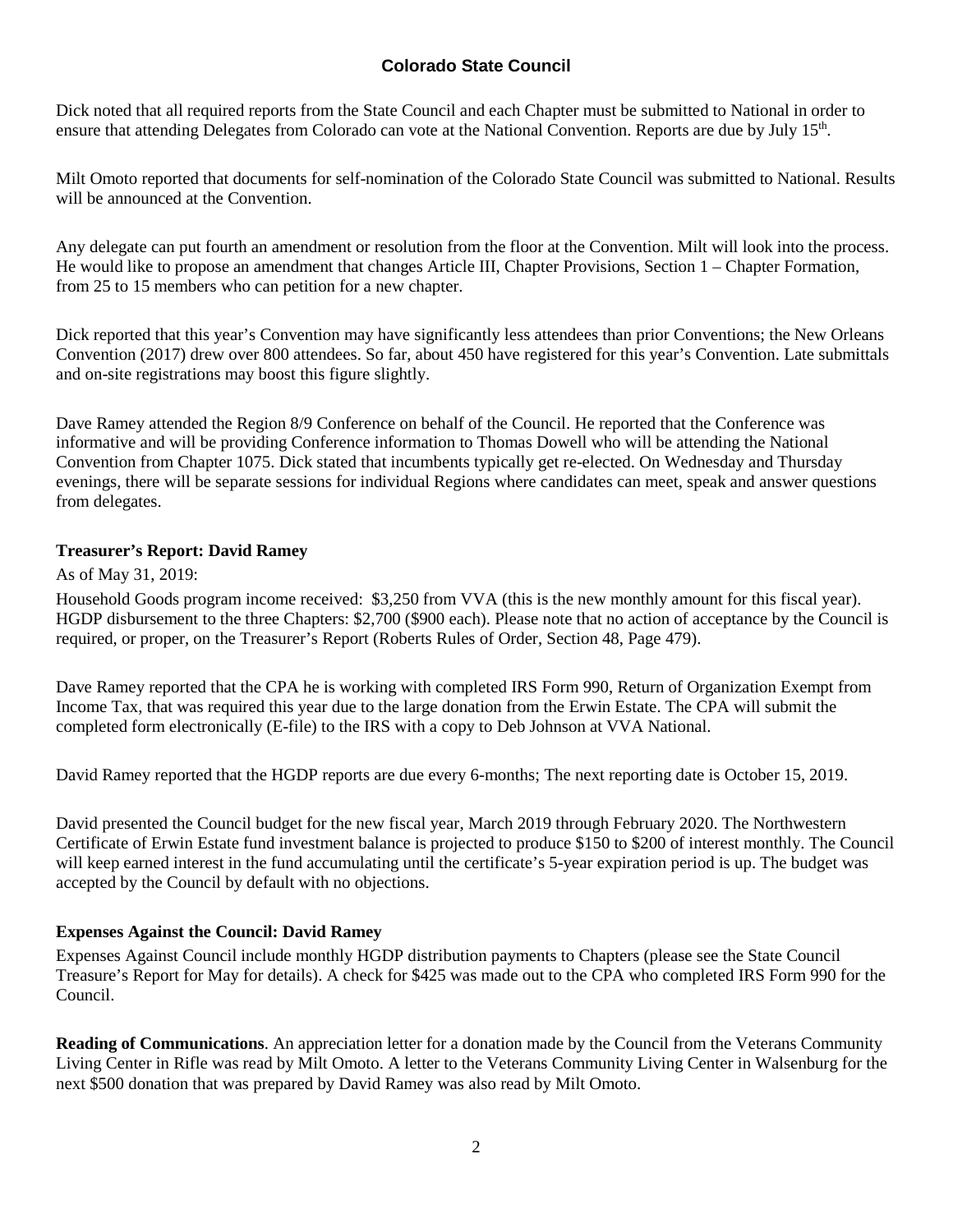Dick noted that all required reports from the State Council and each Chapter must be submitted to National in order to ensure that attending Delegates from Colorado can vote at the National Convention. Reports are due by July 15th.

Milt Omoto reported that documents for self-nomination of the Colorado State Council was submitted to National. Results will be announced at the Convention.

Any delegate can put fourth an amendment or resolution from the floor at the Convention. Milt will look into the process. He would like to propose an amendment that changes Article III, Chapter Provisions, Section 1 – Chapter Formation, from 25 to 15 members who can petition for a new chapter.

Dick reported that this year's Convention may have significantly less attendees than prior Conventions; the New Orleans Convention (2017) drew over 800 attendees. So far, about 450 have registered for this year's Convention. Late submittals and on-site registrations may boost this figure slightly.

Dave Ramey attended the Region 8/9 Conference on behalf of the Council. He reported that the Conference was informative and will be providing Conference information to Thomas Dowell who will be attending the National Convention from Chapter 1075. Dick stated that incumbents typically get re-elected. On Wednesday and Thursday evenings, there will be separate sessions for individual Regions where candidates can meet, speak and answer questions from delegates.

### **Treasurer's Report: David Ramey**

As of May 31, 2019:

Household Goods program income received: \$3,250 from VVA (this is the new monthly amount for this fiscal year). HGDP disbursement to the three Chapters: \$2,700 (\$900 each). Please note that no action of acceptance by the Council is required, or proper, on the Treasurer's Report (Roberts Rules of Order, Section 48, Page 479).

Dave Ramey reported that the CPA he is working with completed IRS Form 990, Return of Organization Exempt from Income Tax, that was required this year due to the large donation from the Erwin Estate. The CPA will submit the completed form electronically (E-file) to the IRS with a copy to Deb Johnson at VVA National.

David Ramey reported that the HGDP reports are due every 6-months; The next reporting date is October 15, 2019.

David presented the Council budget for the new fiscal year, March 2019 through February 2020. The Northwestern Certificate of Erwin Estate fund investment balance is projected to produce \$150 to \$200 of interest monthly. The Council will keep earned interest in the fund accumulating until the certificate's 5-year expiration period is up. The budget was accepted by the Council by default with no objections.

### **Expenses Against the Council: David Ramey**

Expenses Against Council include monthly HGDP distribution payments to Chapters (please see the State Council Treasure's Report for May for details). A check for \$425 was made out to the CPA who completed IRS Form 990 for the Council.

**Reading of Communications**. An appreciation letter for a donation made by the Council from the Veterans Community Living Center in Rifle was read by Milt Omoto. A letter to the Veterans Community Living Center in Walsenburg for the next \$500 donation that was prepared by David Ramey was also read by Milt Omoto.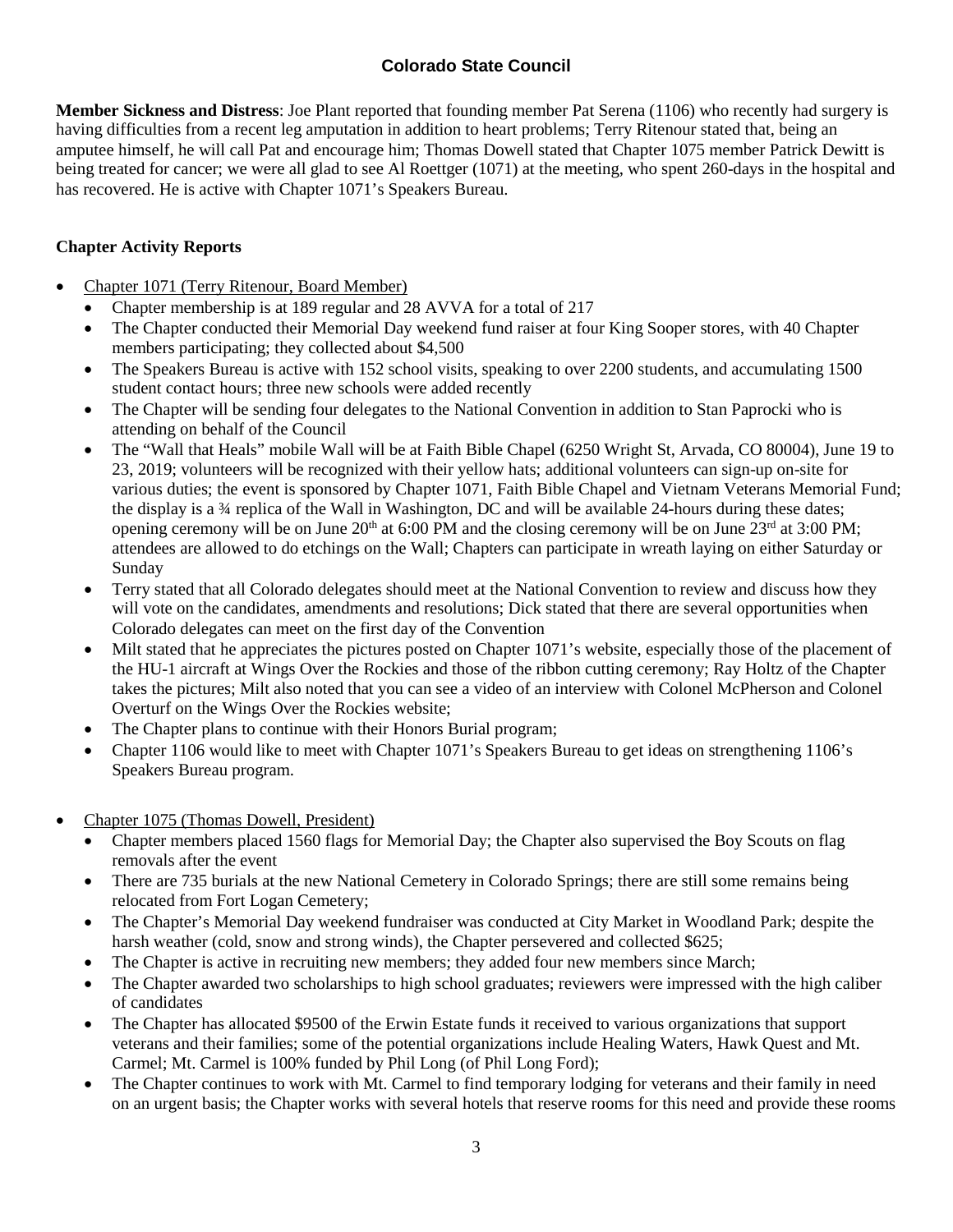**Member Sickness and Distress**: Joe Plant reported that founding member Pat Serena (1106) who recently had surgery is having difficulties from a recent leg amputation in addition to heart problems; Terry Ritenour stated that, being an amputee himself, he will call Pat and encourage him; Thomas Dowell stated that Chapter 1075 member Patrick Dewitt is being treated for cancer; we were all glad to see Al Roettger (1071) at the meeting, who spent 260-days in the hospital and has recovered. He is active with Chapter 1071's Speakers Bureau.

## **Chapter Activity Reports**

- Chapter 1071 (Terry Ritenour, Board Member)
	- Chapter membership is at 189 regular and 28 AVVA for a total of 217
	- The Chapter conducted their Memorial Day weekend fund raiser at four King Sooper stores, with 40 Chapter members participating; they collected about \$4,500
	- The Speakers Bureau is active with 152 school visits, speaking to over 2200 students, and accumulating 1500 student contact hours; three new schools were added recently
	- The Chapter will be sending four delegates to the National Convention in addition to Stan Paprocki who is attending on behalf of the Council
	- The "Wall that Heals" mobile Wall will be at Faith Bible Chapel (6250 Wright St, Arvada, CO 80004), June 19 to 23, 2019; volunteers will be recognized with their yellow hats; additional volunteers can sign-up on-site for various duties; the event is sponsored by Chapter 1071, Faith Bible Chapel and Vietnam Veterans Memorial Fund; the display is a ¾ replica of the Wall in Washington, DC and will be available 24-hours during these dates; opening ceremony will be on June  $20<sup>th</sup>$  at 6:00 PM and the closing ceremony will be on June  $23<sup>rd</sup>$  at 3:00 PM; attendees are allowed to do etchings on the Wall; Chapters can participate in wreath laying on either Saturday or Sunday
	- Terry stated that all Colorado delegates should meet at the National Convention to review and discuss how they will vote on the candidates, amendments and resolutions; Dick stated that there are several opportunities when Colorado delegates can meet on the first day of the Convention
	- Milt stated that he appreciates the pictures posted on Chapter 1071's website, especially those of the placement of the HU-1 aircraft at Wings Over the Rockies and those of the ribbon cutting ceremony; Ray Holtz of the Chapter takes the pictures; Milt also noted that you can see a video of an interview with Colonel McPherson and Colonel Overturf on the Wings Over the Rockies website;
	- The Chapter plans to continue with their Honors Burial program;
	- Chapter 1106 would like to meet with Chapter 1071's Speakers Bureau to get ideas on strengthening 1106's Speakers Bureau program.
- Chapter 1075 (Thomas Dowell, President)
	- Chapter members placed 1560 flags for Memorial Day; the Chapter also supervised the Boy Scouts on flag removals after the event
	- There are 735 burials at the new National Cemetery in Colorado Springs; there are still some remains being relocated from Fort Logan Cemetery;
	- The Chapter's Memorial Day weekend fundraiser was conducted at City Market in Woodland Park; despite the harsh weather (cold, snow and strong winds), the Chapter persevered and collected \$625;
	- The Chapter is active in recruiting new members; they added four new members since March;
	- The Chapter awarded two scholarships to high school graduates; reviewers were impressed with the high caliber of candidates
	- The Chapter has allocated \$9500 of the Erwin Estate funds it received to various organizations that support veterans and their families; some of the potential organizations include Healing Waters, Hawk Quest and Mt. Carmel; Mt. Carmel is 100% funded by Phil Long (of Phil Long Ford);
	- The Chapter continues to work with Mt. Carmel to find temporary lodging for veterans and their family in need on an urgent basis; the Chapter works with several hotels that reserve rooms for this need and provide these rooms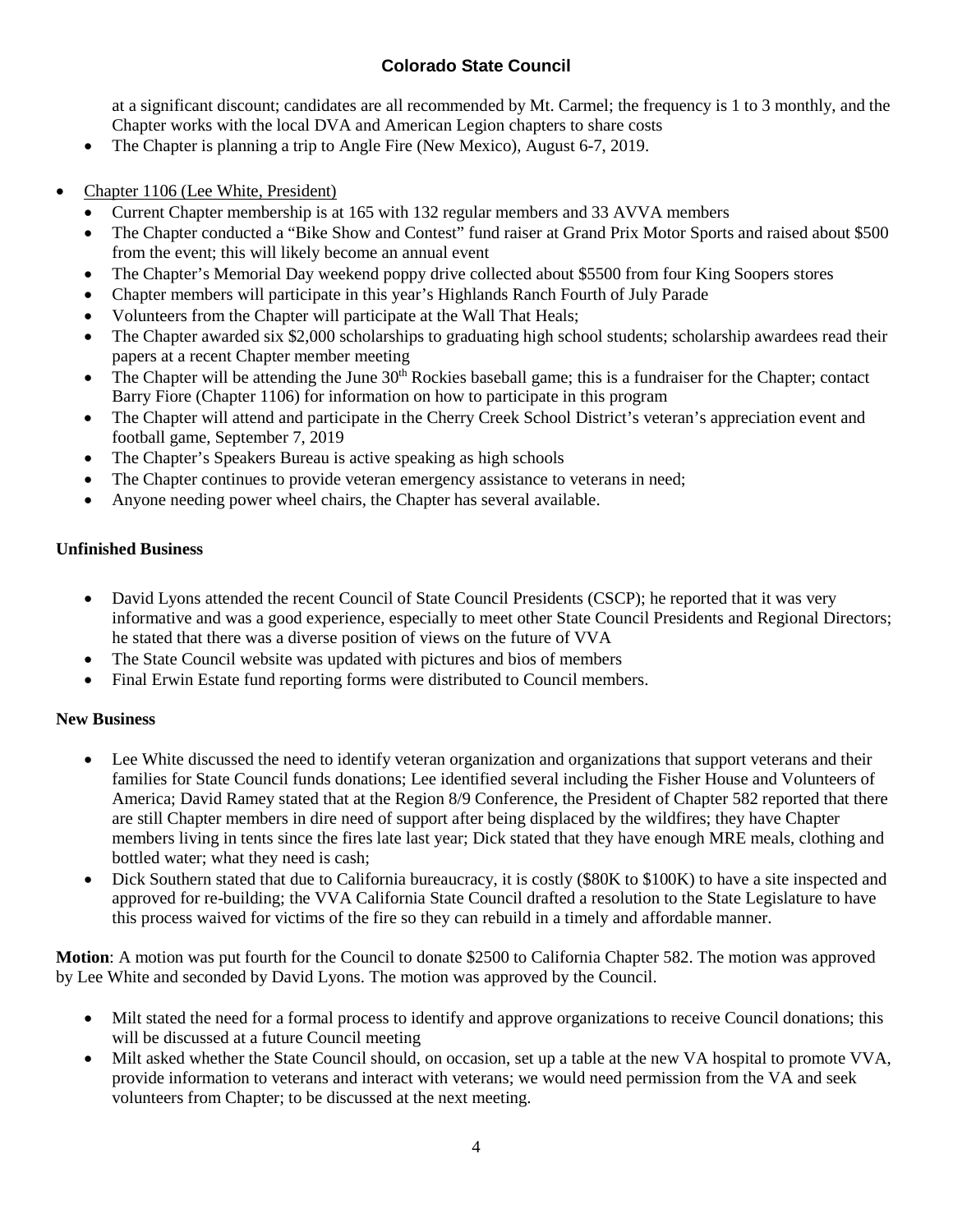at a significant discount; candidates are all recommended by Mt. Carmel; the frequency is 1 to 3 monthly, and the Chapter works with the local DVA and American Legion chapters to share costs

- The Chapter is planning a trip to Angle Fire (New Mexico), August 6-7, 2019.
- Chapter 1106 (Lee White, President)
	- Current Chapter membership is at 165 with 132 regular members and 33 AVVA members
	- The Chapter conducted a "Bike Show and Contest" fund raiser at Grand Prix Motor Sports and raised about \$500 from the event; this will likely become an annual event
	- The Chapter's Memorial Day weekend poppy drive collected about \$5500 from four King Soopers stores
	- Chapter members will participate in this year's Highlands Ranch Fourth of July Parade
	- Volunteers from the Chapter will participate at the Wall That Heals;
	- The Chapter awarded six \$2,000 scholarships to graduating high school students; scholarship awardees read their papers at a recent Chapter member meeting
	- The Chapter will be attending the June 30<sup>th</sup> Rockies baseball game; this is a fundraiser for the Chapter; contact Barry Fiore (Chapter 1106) for information on how to participate in this program
	- The Chapter will attend and participate in the Cherry Creek School District's veteran's appreciation event and football game, September 7, 2019
	- The Chapter's Speakers Bureau is active speaking as high schools
	- The Chapter continues to provide veteran emergency assistance to veterans in need;
	- Anyone needing power wheel chairs, the Chapter has several available.

#### **Unfinished Business**

- David Lyons attended the recent Council of State Council Presidents (CSCP); he reported that it was very informative and was a good experience, especially to meet other State Council Presidents and Regional Directors; he stated that there was a diverse position of views on the future of VVA
- The State Council website was updated with pictures and bios of members
- Final Erwin Estate fund reporting forms were distributed to Council members.

#### **New Business**

- Lee White discussed the need to identify veteran organization and organizations that support veterans and their families for State Council funds donations; Lee identified several including the Fisher House and Volunteers of America; David Ramey stated that at the Region 8/9 Conference, the President of Chapter 582 reported that there are still Chapter members in dire need of support after being displaced by the wildfires; they have Chapter members living in tents since the fires late last year; Dick stated that they have enough MRE meals, clothing and bottled water; what they need is cash;
- Dick Southern stated that due to California bureaucracy, it is costly (\$80K to \$100K) to have a site inspected and approved for re-building; the VVA California State Council drafted a resolution to the State Legislature to have this process waived for victims of the fire so they can rebuild in a timely and affordable manner.

**Motion**: A motion was put fourth for the Council to donate \$2500 to California Chapter 582. The motion was approved by Lee White and seconded by David Lyons. The motion was approved by the Council.

- Milt stated the need for a formal process to identify and approve organizations to receive Council donations; this will be discussed at a future Council meeting
- Milt asked whether the State Council should, on occasion, set up a table at the new VA hospital to promote VVA, provide information to veterans and interact with veterans; we would need permission from the VA and seek volunteers from Chapter; to be discussed at the next meeting.